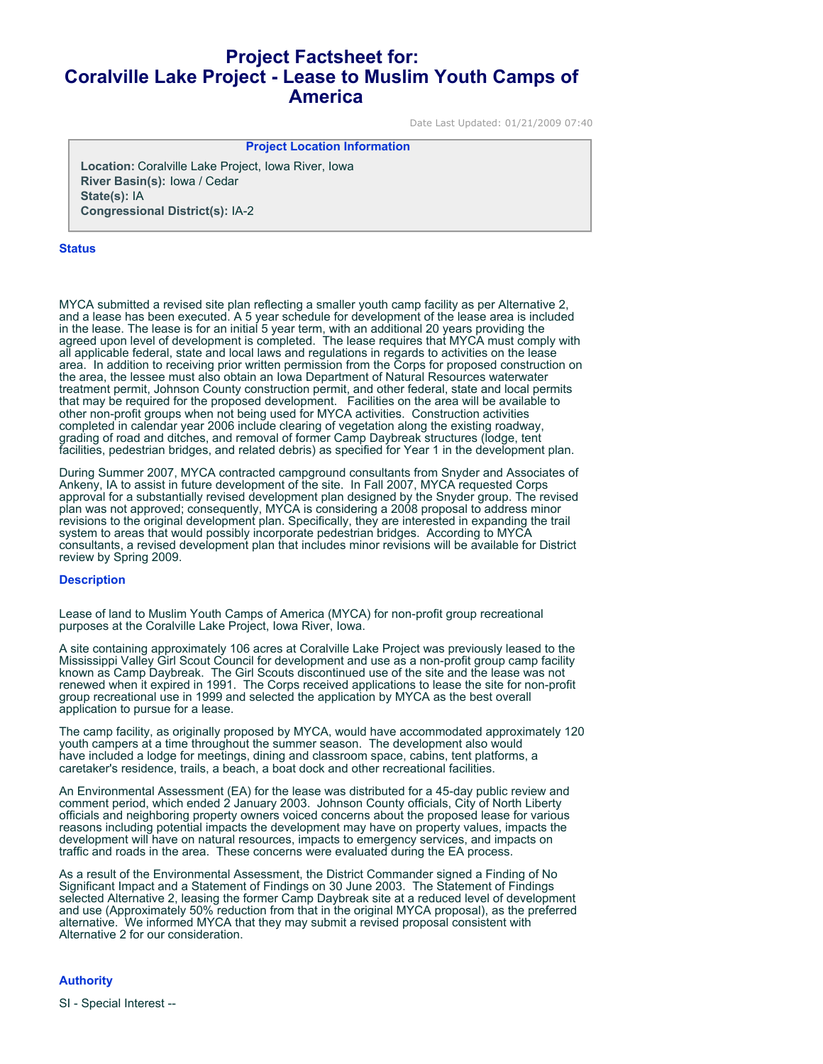# **Project Factsheet for: Coralville Lake Project - Lease to Muslim Youth Camps of America**

Date Last Updated: 01/21/2009 07:40

### **Project Location Information**

**Location:** Coralville Lake Project, Iowa River, Iowa **River Basin(s):** Iowa / Cedar **State(s):** IA **Congressional District(s):** IA-2

#### **Status**

MYCA submitted a revised site plan reflecting a smaller youth camp facility as per Alternative 2, and a lease has been executed. A 5 year schedule for development of the lease area is included in the lease. The lease is for an initial 5 year term, with an additional 20 years providing the agreed upon level of development is completed. The lease requires that MYCA must comply with all applicable federal, state and local laws and regulations in regards to activities on the lease area. In addition to receiving prior written permission from the Corps for proposed construction on the area, the lessee must also obtain an Iowa Department of Natural Resources waterwater treatment permit, Johnson County construction permit, and other federal, state and local permits that may be required for the proposed development. Facilities on the area will be available to other non-profit groups when not being used for MYCA activities. Construction activities completed in calendar year 2006 include clearing of vegetation along the existing roadway, grading of road and ditches, and removal of former Camp Daybreak structures (lodge, tent facilities, pedestrian bridges, and related debris) as specified for Year 1 in the development plan.

During Summer 2007, MYCA contracted campground consultants from Snyder and Associates of Ankeny, IA to assist in future development of the site. In Fall 2007, MYCA requested Corps approval for a substantially revised development plan designed by the Snyder group. The revised plan was not approved; consequently, MYCA is considering a 2008 proposal to address minor revisions to the original development plan. Specifically, they are interested in expanding the trail system to areas that would possibly incorporate pedestrian bridges. According to MYCA consultants, a revised development plan that includes minor revisions will be available for District review by Spring 2009.

#### **Description**

Lease of land to Muslim Youth Camps of America (MYCA) for non-profit group recreational purposes at the Coralville Lake Project, Iowa River, Iowa.

A site containing approximately 106 acres at Coralville Lake Project was previously leased to the Mississippi Valley Girl Scout Council for development and use as a non-profit group camp facility known as Camp Daybreak. The Girl Scouts discontinued use of the site and the lease was not renewed when it expired in 1991. The Corps received applications to lease the site for non-profit group recreational use in 1999 and selected the application by MYCA as the best overall application to pursue for a lease.

The camp facility, as originally proposed by MYCA, would have accommodated approximately 120 youth campers at a time throughout the summer season. The development also would have included a lodge for meetings, dining and classroom space, cabins, tent platforms, a caretaker's residence, trails, a beach, a boat dock and other recreational facilities.

An Environmental Assessment (EA) for the lease was distributed for a 45-day public review and comment period, which ended 2 January 2003. Johnson County officials, City of North Liberty officials and neighboring property owners voiced concerns about the proposed lease for various reasons including potential impacts the development may have on property values, impacts the development will have on natural resources, impacts to emergency services, and impacts on traffic and roads in the area. These concerns were evaluated during the EA process.

As a result of the Environmental Assessment, the District Commander signed a Finding of No Significant Impact and a Statement of Findings on 30 June 2003. The Statement of Findings selected Alternative 2, leasing the former Camp Daybreak site at a reduced level of development and use (Approximately 50% reduction from that in the original MYCA proposal), as the preferred alternative. We informed MYCA that they may submit a revised proposal consistent with Alternative 2 for our consideration.

## **Authority**

SI - Special Interest --